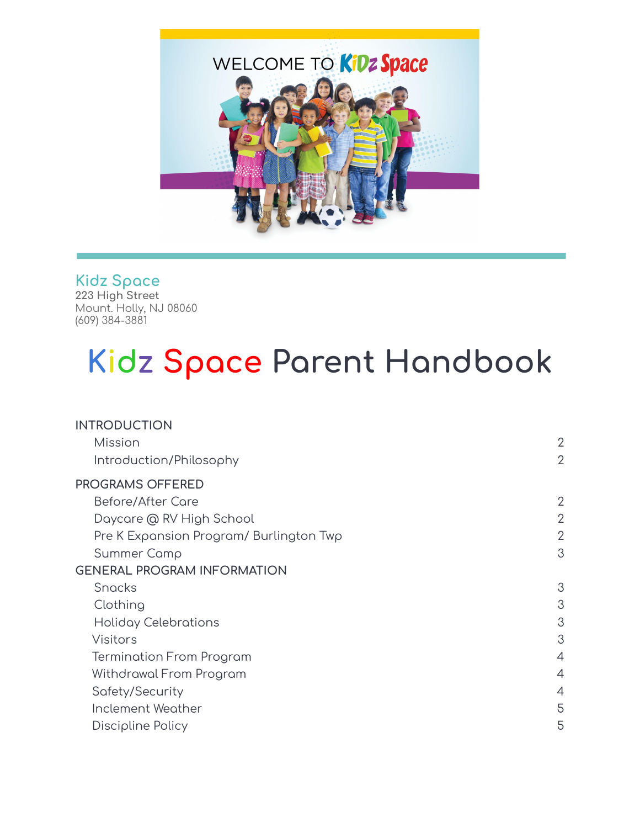

### **Kidz Space**

**223 High Street** Mount. Holly, NJ 08060 (609) 384-3881

# **Kidz Space Parent Handbook**

| <b>INTRODUCTION</b>                     |                |
|-----------------------------------------|----------------|
| Mission                                 | $\overline{2}$ |
| Introduction/Philosophy                 | $\overline{2}$ |
| <b>PROGRAMS OFFERED</b>                 |                |
| Before/After Care                       | 2              |
| Daycare @ RV High School                | $\overline{2}$ |
| Pre K Expansion Program/ Burlington Twp | $\overline{2}$ |
| Summer Camp                             | 3              |
| <b>GENERAL PROGRAM INFORMATION</b>      |                |
| Snacks                                  | 3              |
| Clothing                                | 3              |
| Holiday Celebrations                    | 3              |
| Visitors                                | 3              |
| <b>Termination From Program</b>         | $\overline{4}$ |
| Withdrawal From Program                 | 4              |
| Safety/Security                         | 4              |
| <b>Inclement Weather</b>                | 5              |
| Discipline Policy                       | 5              |
|                                         |                |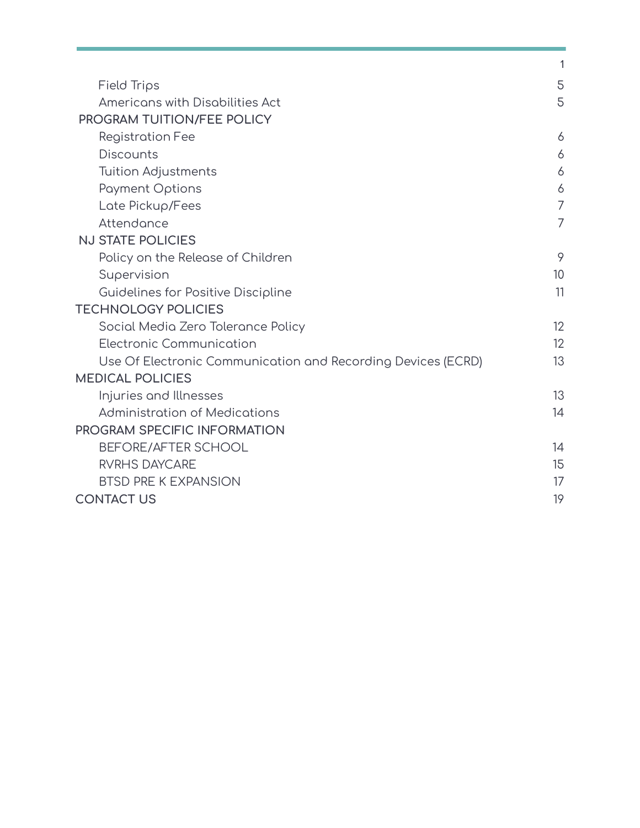|                                                              | 1              |
|--------------------------------------------------------------|----------------|
| Field Trips                                                  | 5              |
| Americans with Disabilities Act                              | 5              |
| PROGRAM TUITION/FEE POLICY                                   |                |
| <b>Registration Fee</b>                                      | 6              |
| <b>Discounts</b>                                             | 6              |
| <b>Tuition Adjustments</b>                                   | 6              |
| <b>Payment Options</b>                                       | 6              |
| Late Pickup/Fees                                             | $\overline{7}$ |
| Attendance                                                   | 7              |
| <b>NJ STATE POLICIES</b>                                     |                |
| Policy on the Release of Children                            | 9              |
| Supervision                                                  | 10             |
| Guidelines for Positive Discipline                           | 11             |
| <b>TECHNOLOGY POLICIES</b>                                   |                |
| Social Media Zero Tolerance Policy                           | 12             |
| Electronic Communication                                     | 12             |
| Use Of Electronic Communication and Recording Devices (ECRD) | 13             |
| <b>MEDICAL POLICIES</b>                                      |                |
| Injuries and Illnesses                                       | 13             |
| <b>Administration of Medications</b>                         | 14             |
| PROGRAM SPECIFIC INFORMATION                                 |                |
| <b>BEFORE/AFTER SCHOOL</b>                                   | 14             |
| <b>RVRHS DAYCARE</b>                                         | 15             |
| <b>BTSD PRE K EXPANSION</b>                                  | 17             |
| <b>CONTACT US</b>                                            | 19             |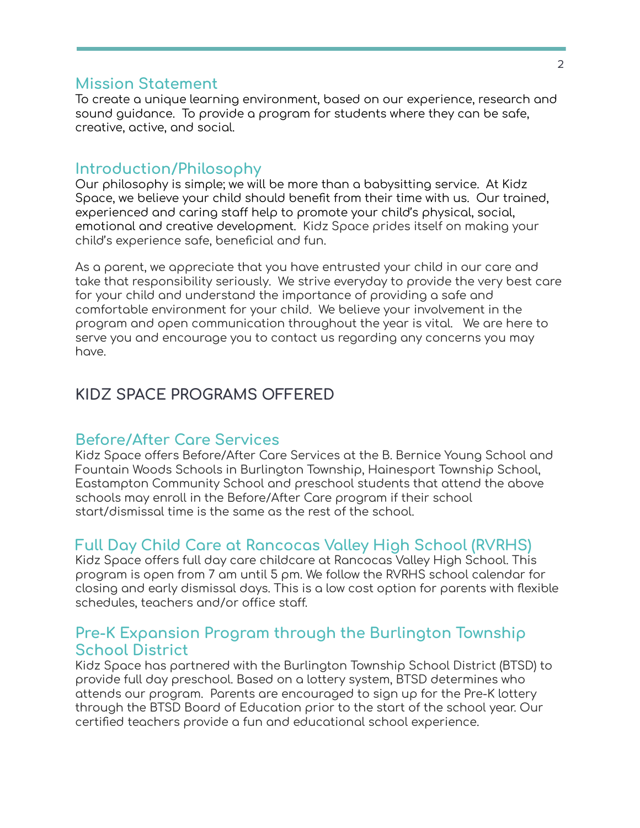#### **Mission Statement**

To create a unique learning environment, based on our experience, research and sound guidance. To provide a program for students where they can be safe, creative, active, and social.

### **Introduction/Philosophy**

Our philosophy is simple; we will be more than a babysitting service. At Kidz Space, we believe your child should benefit from their time with us. Our trained, experienced and caring staff help to promote your child's physical, social, emotional and creative development. Kidz Space prides itself on making your child's experience safe, beneficial and fun.

As a parent, we appreciate that you have entrusted your child in our care and take that responsibility seriously. We strive everyday to provide the very best care for your child and understand the importance of providing a safe and comfortable environment for your child. We believe your involvement in the program and open communication throughout the year is vital. We are here to serve you and encourage you to contact us regarding any concerns you may have.

### **KIDZ SPACE PROGRAMS OFFERED**

### **Before/After Care Services**

Kidz Space offers Before/After Care Services at the B. Bernice Young School and Fountain Woods Schools in Burlington Township, Hainesport Township School, Eastampton Community School and preschool students that attend the above schools may enroll in the Before/After Care program if their school start/dismissal time is the same as the rest of the school.

### **Full Day Child Care at Rancocas Valley High School (RVRHS)**

Kidz Space offers full day care childcare at Rancocas Valley High School. This program is open from 7 am until 5 pm. We follow the RVRHS school calendar for closing and early dismissal days. This is a low cost option for parents with flexible schedules, teachers and/or office staff.

### **Pre-K Expansion Program through the Burlington Township School District**

Kidz Space has partnered with the Burlington Township School District (BTSD) to provide full day preschool. Based on a lottery system, BTSD determines who attends our program. Parents are encouraged to sign up for the Pre-K lottery through the BTSD Board of Education prior to the start of the school year. Our certified teachers provide a fun and educational school experience.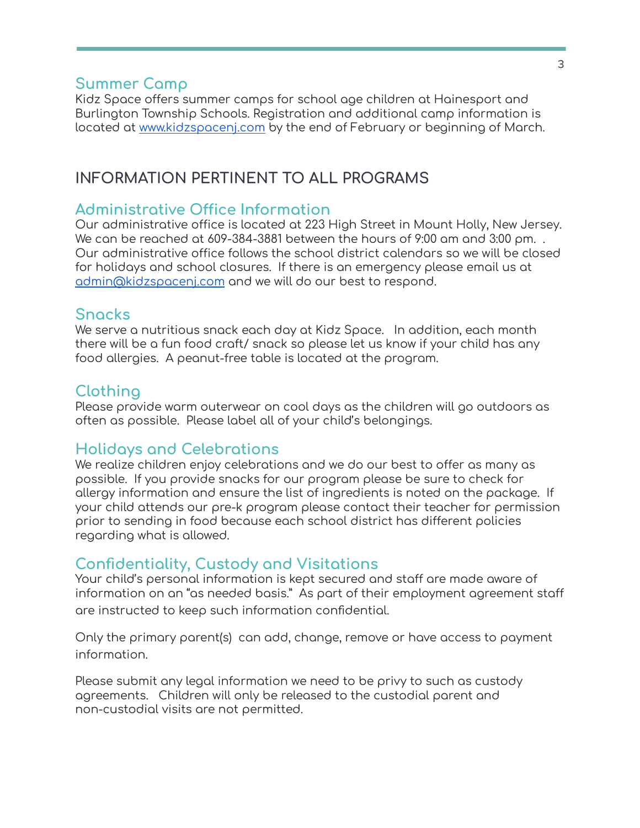### **Summer Camp**

Kidz Space offers summer camps for school age children at Hainesport and Burlington Township Schools. Registration and additional camp information is located at [www.kidzspacenj.com](http://www.kidzspacenj.com) by the end of February or beginning of March.

## **INFORMATION PERTINENT TO ALL PROGRAMS**

### **Administrative Office Information**

Our administrative office is located at 223 High Street in Mount Holly, New Jersey. We can be reached at 609-384-3881 between the hours of 9:00 am and 3:00 pm. . Our administrative office follows the school district calendars so we will be closed for holidays and school closures. If there is an emergency please email us at [admin@kidzspacenj.com](mailto:admin@kidzspacenj.com) and we will do our best to respond.

### **Snacks**

We serve a nutritious snack each day at Kidz Space. In addition, each month there will be a fun food craft/ snack so please let us know if your child has any food allergies. A peanut-free table is located at the program.

### **Clothing**

Please provide warm outerwear on cool days as the children will go outdoors as often as possible. Please label all of your child's belongings.

### **Holidays and Celebrations**

We realize children enjoy celebrations and we do our best to offer as many as possible. If you provide snacks for our program please be sure to check for allergy information and ensure the list of ingredients is noted on the package. If your child attends our pre-k program please contact their teacher for permission prior to sending in food because each school district has different policies regarding what is allowed.

### **Confidentiality, Custody and Visitations**

Your child's personal information is kept secured and staff are made aware of information on an "as needed basis." As part of their employment agreement staff are instructed to keep such information confidential.

Only the primary parent(s) can add, change, remove or have access to payment information.

Please submit any legal information we need to be privy to such as custody agreements. Children will only be released to the custodial parent and non-custodial visits are not permitted.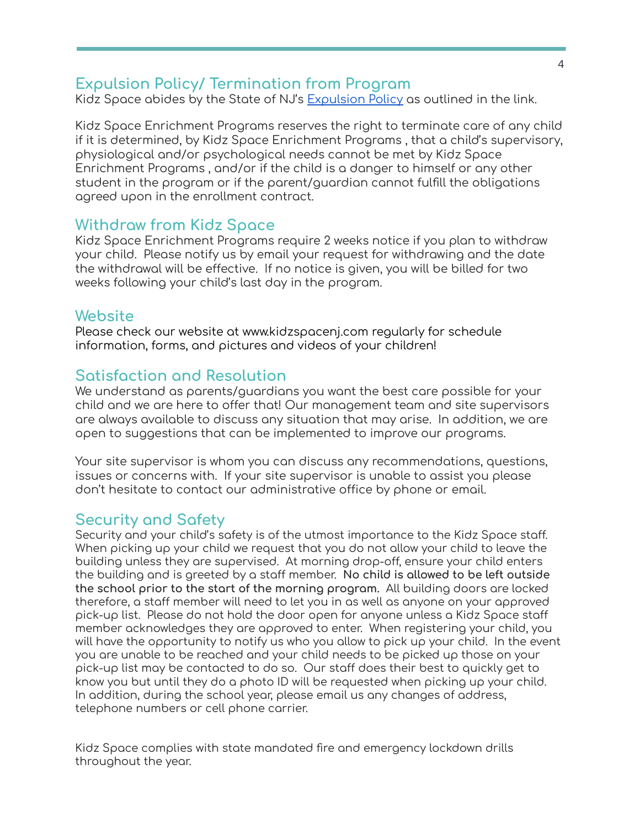### **Expulsion Policy/ Termination from Program**

Kidz Space abides by the State of NJ's [Expulsion](https://fs12.formsite.com/cCAoVq/images/expulsion_policy.docx.pdf) Policy as outlined in the link.

Kidz Space Enrichment Programs reserves the right to terminate care of any child if it is determined, by Kidz Space Enrichment Programs , that a child's supervisory, physiological and/or psychological needs cannot be met by Kidz Space Enrichment Programs , and/or if the child is a danger to himself or any other student in the program or if the parent/guardian cannot fulfill the obligations agreed upon in the enrollment contract.

### **Withdraw from Kidz Space**

Kidz Space Enrichment Programs require 2 weeks notice if you plan to withdraw your child. Please notify us by email your request for withdrawing and the date the withdrawal will be effective. If no notice is given, you will be billed for two weeks following your child's last day in the program.

### **Website**

Please check our website at www.kidzspacenj.com regularly for schedule information, forms, and pictures and videos of your children!

### **Satisfaction and Resolution**

We understand as parents/guardians you want the best care possible for your child and we are here to offer that! Our management team and site supervisors are always available to discuss any situation that may arise. In addition, we are open to suggestions that can be implemented to improve our programs.

Your site supervisor is whom you can discuss any recommendations, questions, issues or concerns with. If your site supervisor is unable to assist you please don't hesitate to contact our administrative office by phone or email.

### **Security and Safety**

Security and your child's safety is of the utmost importance to the Kidz Space staff. When picking up your child we request that you do not allow your child to leave the building unless they are supervised. At morning drop-off, ensure your child enters the building and is greeted by a staff member. **No child is allowed to be left outside the school prior to the start of the morning program.** All building doors are locked therefore, a staff member will need to let you in as well as anyone on your approved pick-up list. Please do not hold the door open for anyone unless a Kidz Space staff member acknowledges they are approved to enter. When registering your child, you will have the opportunity to notify us who you allow to pick up your child. In the event you are unable to be reached and your child needs to be picked up those on your pick-up list may be contacted to do so. Our staff does their best to quickly get to know you but until they do a photo ID will be requested when picking up your child. In addition, during the school year, please email us any changes of address, telephone numbers or cell phone carrier.

Kidz Space complies with state mandated fire and emergency lockdown drills throughout the year.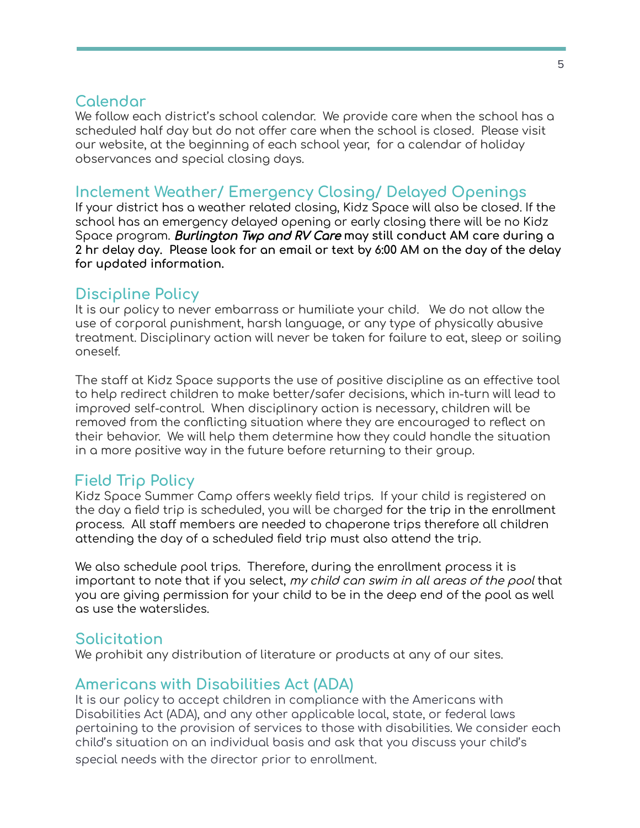### **Calendar**

We follow each district's school calendar. We provide care when the school has a scheduled half day but do not offer care when the school is closed. Please visit our website, at the beginning of each school year, for a calendar of holiday observances and special closing days.

### **Inclement Weather/ Emergency Closing/ Delayed Openings**

If your district has a weather related closing, Kidz Space will also be closed. If the school has an emergency delayed opening or early closing there will be no Kidz Space program. Burlington Twp and RV Care **may still conduct AM care during a 2 hr delay day. Please look for an email or text by 6:00 AM on the day of the delay for updated information.**

### **Discipline Policy**

It is our policy to never embarrass or humiliate your child. We do not allow the use of corporal punishment, harsh language, or any type of physically abusive treatment. Disciplinary action will never be taken for failure to eat, sleep or soiling oneself.

The staff at Kidz Space supports the use of positive discipline as an effective tool to help redirect children to make better/safer decisions, which in-turn will lead to improved self-control. When disciplinary action is necessary, children will be removed from the conflicting situation where they are encouraged to reflect on their behavior. We will help them determine how they could handle the situation in a more positive way in the future before returning to their group.

### **Field Trip Policy**

Kidz Space Summer Camp offers weekly field trips. If your child is registered on the day a field trip is scheduled, you will be charged for the trip in the enrollment process. All staff members are needed to chaperone trips therefore all children attending the day of a scheduled field trip must also attend the trip.

We also schedule pool trips. Therefore, during the enrollment process it is important to note that if you select, my child can swim in all areas of the pool that you are giving permission for your child to be in the deep end of the pool as well as use the waterslides.

### **Solicitation**

We prohibit any distribution of literature or products at any of our sites.

### **Americans with Disabilities Act (ADA)**

It is our policy to accept children in compliance with the Americans with Disabilities Act (ADA), and any other applicable local, state, or federal laws pertaining to the provision of services to those with disabilities. We consider each child's situation on an individual basis and ask that you discuss your child's special needs with the director prior to enrollment.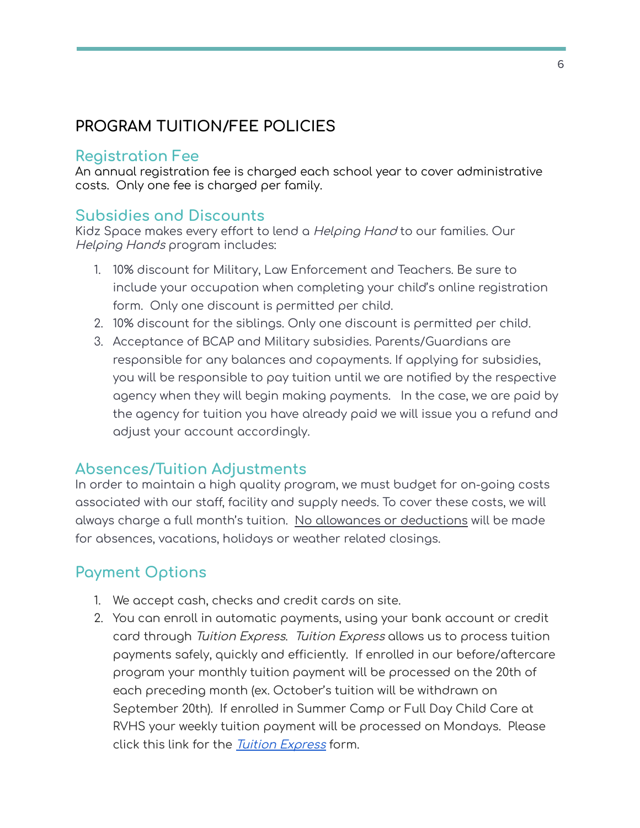# **PROGRAM TUITION/FEE POLICIES**

### **Registration Fee**

An annual registration fee is charged each school year to cover administrative costs. Only one fee is charged per family.

# **Subsidies and Discounts**

Kidz Space makes every effort to lend a Helping Hand to our families. Our Helping Hands program includes:

- 1. 10% discount for Military, Law Enforcement and Teachers. Be sure to include your occupation when completing your child's online registration form. Only one discount is permitted per child.
- 2. 10% discount for the siblings. Only one discount is permitted per child.
- 3. Acceptance of BCAP and Military subsidies. Parents/Guardians are responsible for any balances and copayments. If applying for subsidies, you will be responsible to pay tuition until we are notified by the respective agency when they will begin making payments. In the case, we are paid by the agency for tuition you have already paid we will issue you a refund and adjust your account accordingly.

### **Absences/Tuition Adjustments**

In order to maintain a high quality program, we must budget for on-going costs associated with our staff, facility and supply needs. To cover these costs, we will always charge a full month's tuition. No allowances or deductions will be made for absences, vacations, holidays or weather related closings.

# **Payment Options**

- 1. We accept cash, checks and credit cards on site.
- 2. You can enroll in automatic payments, using your bank account or credit card through Tuition Express. Tuition Express allows us to process tuition payments safely, quickly and efficiently. If enrolled in our before/aftercare program your monthly tuition payment will be processed on the 20th of each preceding month (ex. October's tuition will be withdrawn on September 20th). If enrolled in Summer Camp or Full Day Child Care at RVHS your weekly tuition payment will be processed on Mondays. Please click this link for the *Tuition [Express](https://www.kidzspacenj.com/wp-content/uploads/2022/01/Tuition-Express-Form-ks.pdf)* form.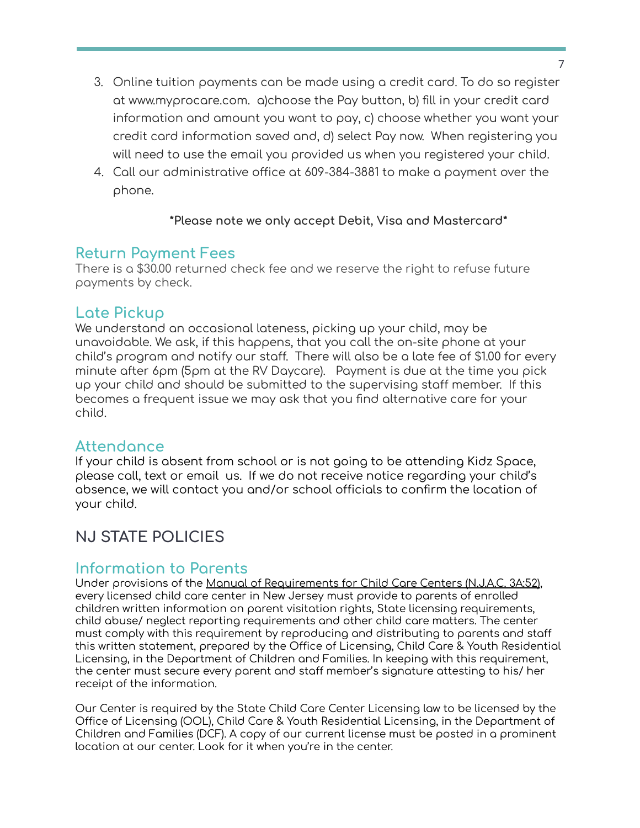- 3. Online tuition payments can be made using a credit card. To do so register at www.myprocare.com. a)choose the Pay button, b) fill in your credit card information and amount you want to pay, c) choose whether you want your credit card information saved and, d) select Pay now. When registering you will need to use the email you provided us when you registered your child.
- 4. Call our administrative office at 609-384-3881 to make a payment over the phone.

#### **\*Please note we only accept Debit, Visa and Mastercard\***

### **Return Payment Fees**

There is a \$30.00 returned check fee and we reserve the right to refuse future payments by check.

### **Late Pickup**

We understand an occasional lateness, picking up your child, may be unavoidable. We ask, if this happens, that you call the on-site phone at your child's program and notify our staff. There will also be a late fee of \$1.00 for every minute after 6pm (5pm at the RV Daycare). Payment is due at the time you pick up your child and should be submitted to the supervising staff member. If this becomes a frequent issue we may ask that you find alternative care for your child.

### **Attendance**

If your child is absent from school or is not going to be attending Kidz Space, please call, text or email us. If we do not receive notice regarding your child's absence, we will contact you and/or school officials to confirm the location of your child.

# **NJ STATE POLICIES**

### **Information to Parents**

Under provisions of the Manual of Requirements for Child Care Centers (N.J.A.C. 3A:52), every licensed child care center in New Jersey must provide to parents of enrolled children written information on parent visitation rights, State licensing requirements, child abuse/ neglect reporting requirements and other child care matters. The center must comply with this requirement by reproducing and distributing to parents and staff this written statement, prepared by the Office of Licensing, Child Care & Youth Residential Licensing, in the Department of Children and Families. In keeping with this requirement, the center must secure every parent and staff member's signature attesting to his/ her receipt of the information.

Our Center is required by the State Child Care Center Licensing law to be licensed by the Office of Licensing (OOL), Child Care & Youth Residential Licensing, in the Department of Children and Families (DCF). A copy of our current license must be posted in a prominent location at our center. Look for it when you're in the center.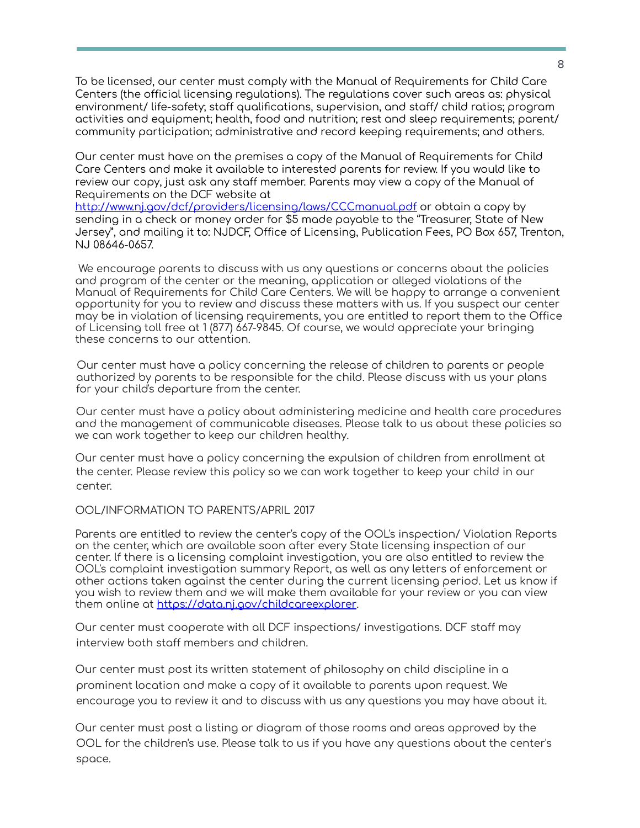To be licensed, our center must comply with the Manual of Requirements for Child Care Centers (the official licensing regulations). The regulations cover such areas as: physical environment/ life-safety; staff qualifications, supervision, and staff/ child ratios; program activities and equipment; health, food and nutrition; rest and sleep requirements; parent/ community participation; administrative and record keeping requirements; and others.

Our center must have on the premises a copy of the Manual of Requirements for Child Care Centers and make it available to interested parents for review. If you would like to review our copy, just ask any staff member. Parents may view a copy of the Manual of Requirements on the DCF website at

<http://www.nj.gov/dcf/providers/licensing/laws/CCCmanual.pdf> or obtain a copy by sending in a check or money order for \$5 made payable to the "Treasurer, State of New Jersey", and mailing it to: NJDCF, Office of Licensing, Publication Fees, PO Box 657, Trenton, NJ 08646-0657.

We encourage parents to discuss with us any questions or concerns about the policies and program of the center or the meaning, application or alleged violations of the Manual of Requirements for Child Care Centers. We will be happy to arrange a convenient opportunity for you to review and discuss these matters with us. If you suspect our center may be in violation of licensing requirements, you are entitled to report them to the Office of Licensing toll free at 1 (877) 667-9845. Of course, we would appreciate your bringing these concerns to our attention.

Our center must have a policy concerning the release of children to parents or people authorized by parents to be responsible for the child. Please discuss with us your plans for your child's departure from the center.

Our center must have a policy about administering medicine and health care procedures and the management of communicable diseases. Please talk to us about these policies so we can work together to keep our children healthy.

Our center must have a policy concerning the expulsion of children from enrollment at the center. Please review this policy so we can work together to keep your child in our center.

OOL/INFORMATION TO PARENTS/APRIL 2017

Parents are entitled to review the center's copy of the OOL's inspection/ Violation Reports on the center, which are available soon after every State licensing inspection of our center. lf there is a licensing complaint investigation, you are also entitled to review the OOL's complaint investigation summary Report, as well as any letters of enforcement or other actions taken against the center during the current licensing period. Let us know if you wish to review them and we will make them available for your review or you can view them online at <https://data.nj.gov/childcareexplorer>.

Our center must cooperate with all DCF inspections/ investigations. DCF staff may interview both staff members and children.

Our center must post its written statement of philosophy on child discipline in a prominent location and make a copy of it available to parents upon request. We encourage you to review it and to discuss with us any questions you may have about it.

Our center must post a listing or diagram of those rooms and areas approved by the OOL for the children's use. Please talk to us if you have any questions about the center's space.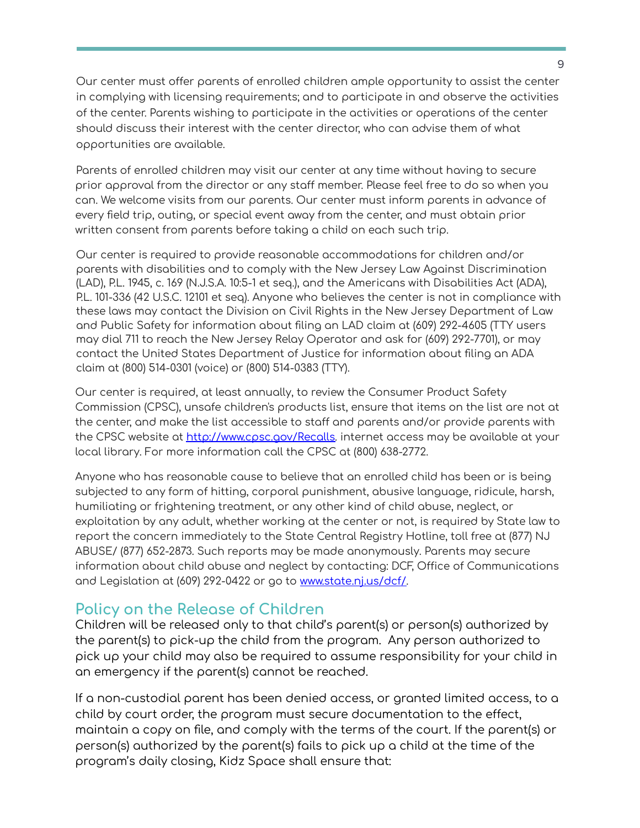Our center must offer parents of enrolled children ample opportunity to assist the center in complying with licensing requirements; and to participate in and observe the activities of the center. Parents wishing to participate in the activities or operations of the center should discuss their interest with the center director, who can advise them of what opportunities are available.

Parents of enrolled children may visit our center at any time without having to secure prior approval from the director or any staff member. Please feel free to do so when you can. We welcome visits from our parents. Our center must inform parents in advance of every field trip, outing, or special event away from the center, and must obtain prior written consent from parents before taking a child on each such trip.

Our center is required to provide reasonable accommodations for children and/or parents with disabilities and to comply with the New Jersey Law Against Discrimination (LAD), P.L. 1945, c. 169 (N.J.S.A. 10:5-1 et seq.), and the Americans with Disabilities Act (ADA), P.L. 101-336 (42 U.S.C. 12101 et seq). Anyone who believes the center is not in compliance with these laws may contact the Division on Civil Rights in the New Jersey Department of Law and Public Safety for information about filing an LAD claim at (609) 292-4605 (TTY users may dial 711 to reach the New Jersey Relay Operator and ask for (609) 292-7701), or may contact the United States Department of Justice for information about filing an ADA claim at (800) 514-0301 (voice) or (800) 514-0383 (TTY).

Our center is required, at least annually, to review the Consumer Product Safety Commission (CPSC), unsafe children's products list, ensure that items on the list are not at the center, and make the list accessible to staff and parents and/or provide parents with the CPSC website at [http://www.cpsc.gov/Recalls.](http://www.cpsc.gov/Recalls) internet access may be available at your local library. For more information call the CPSC at (800) 638-2772.

Anyone who has reasonable cause to believe that an enrolled child has been or is being subjected to any form of hitting, corporal punishment, abusive language, ridicule, harsh, humiliating or frightening treatment, or any other kind of child abuse, neglect, or exploitation by any adult, whether working at the center or not, is required by State law to report the concern immediately to the State Central Registry Hotline, toll free at (877) NJ ABUSE/ (877) 652-2873. Such reports may be made anonymously. Parents may secure information about child abuse and neglect by contacting: DCF, Office of Communications and Legislation at (609) 292-0422 or go to [www.state.nj.us/dcf/.](http://www.state.nj.us/dcf/)

### **Policy on the Release of Children**

Children will be released only to that child's parent(s) or person(s) authorized by the parent(s) to pick-up the child from the program. Any person authorized to pick up your child may also be required to assume responsibility for your child in an emergency if the parent(s) cannot be reached.

If a non-custodial parent has been denied access, or granted limited access, to a child by court order, the program must secure documentation to the effect, maintain a copy on file, and comply with the terms of the court. If the parent(s) or person(s) authorized by the parent(s) fails to pick up a child at the time of the program's daily closing, Kidz Space shall ensure that: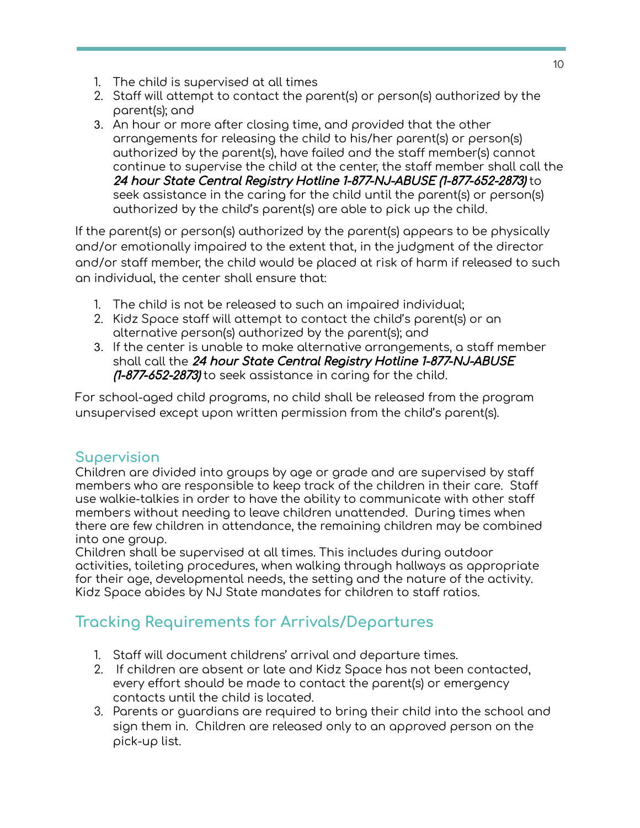- 1. The child is supervised at all times
- 2. Staff will attempt to contact the parent(s) or person(s) authorized by the parent(s); and
- 3. An hour or more after closing time, and provided that the other arrangements for releasing the child to his/her parent(s) or person(s) authorized by the parent(s), have failed and the staff member(s) cannot continue to supervise the child at the center, the staff member shall call the 24 hour State Central Registry Hotline 1-877-NJ-ABUSE (1-877-652-2873) to seek assistance in the caring for the child until the parent(s) or person(s) authorized by the child's parent(s) are able to pick up the child.

If the parent(s) or person(s) authorized by the parent(s) appears to be physically and/or emotionally impaired to the extent that, in the judgment of the director and/or staff member, the child would be placed at risk of harm if released to such an individual, the center shall ensure that:

- 1. The child is not be released to such an impaired individual;
- 2. Kidz Space staff will attempt to contact the child's parent(s) or an alternative person(s) authorized by the parent(s); and
- 3. If the center is unable to make alternative arrangements, a staff member shall call the 24 hour State Central Registry Hotline 1-877-NJ-ABUSE (1-877-652-2873) to seek assistance in caring for the child.

For school-aged child programs, no child shall be released from the program unsupervised except upon written permission from the child's parent(s).

### **Supervision**

Children are divided into groups by age or grade and are supervised by staff members who are responsible to keep track of the children in their care. Staff use walkie-talkies in order to have the ability to communicate with other staff members without needing to leave children unattended. During times when there are few children in attendance, the remaining children may be combined into one group.

Children shall be supervised at all times. This includes during outdoor activities, toileting procedures, when walking through hallways as appropriate for their age, developmental needs, the setting and the nature of the activity. Kidz Space abides by NJ State mandates for children to staff ratios.

# **Tracking Requirements for Arrivals/Departures**

- 1. Staff will document childrens' arrival and departure times.
- 2. If children are absent or late and Kidz Space has not been contacted, every effort should be made to contact the parent(s) or emergency contacts until the child is located.
- 3. Parents or guardians are required to bring their child into the school and sign them in. Children are released only to an approved person on the pick-up list.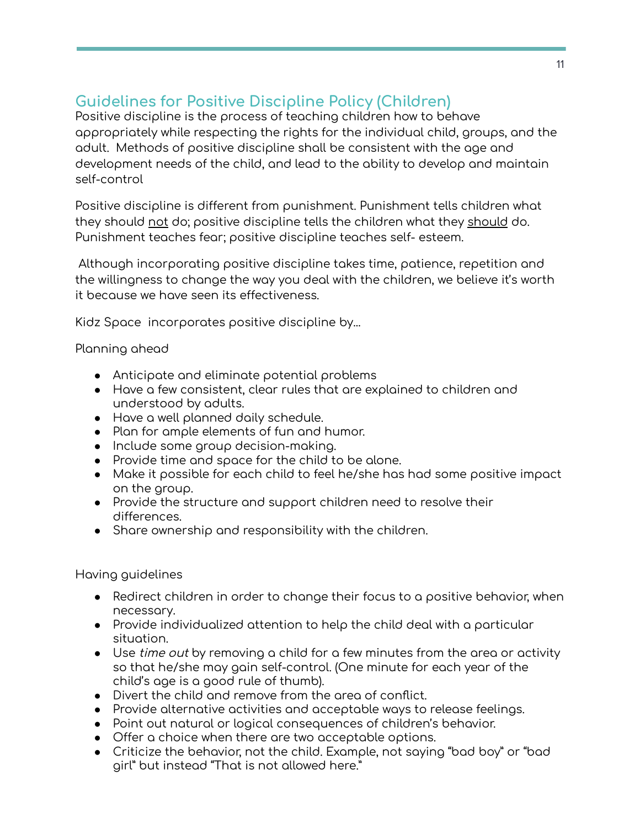# **Guidelines for Positive Discipline Policy (Children)**

Positive discipline is the process of teaching children how to behave appropriately while respecting the rights for the individual child, groups, and the adult. Methods of positive discipline shall be consistent with the age and development needs of the child, and lead to the ability to develop and maintain self-control

Positive discipline is different from punishment. Punishment tells children what they should not do; positive discipline tells the children what they should do. Punishment teaches fear; positive discipline teaches self- esteem.

Although incorporating positive discipline takes time, patience, repetition and the willingness to change the way you deal with the children, we believe it's worth it because we have seen its effectiveness.

Kidz Space incorporates positive discipline by...

#### Planning ahead

- Anticipate and eliminate potential problems
- Have a few consistent, clear rules that are explained to children and understood by adults.
- Have a well planned daily schedule.
- Plan for ample elements of fun and humor.
- Include some group decision-making.
- Provide time and space for the child to be alone.
- Make it possible for each child to feel he/she has had some positive impact on the group.
- Provide the structure and support children need to resolve their differences.
- Share ownership and responsibility with the children.

#### Having guidelines

- Redirect children in order to change their focus to a positive behavior, when necessary.
- Provide individualized attention to help the child deal with a particular situation.
- Use *time out* by removing a child for a few minutes from the area or activity so that he/she may gain self-control. (One minute for each year of the child's age is a good rule of thumb).
- Divert the child and remove from the area of conflict.
- Provide alternative activities and acceptable ways to release feelings.
- Point out natural or logical consequences of children's behavior.
- Offer a choice when there are two acceptable options.
- Criticize the behavior, not the child. Example, not saying "bad boy" or "bad girl" but instead "That is not allowed here."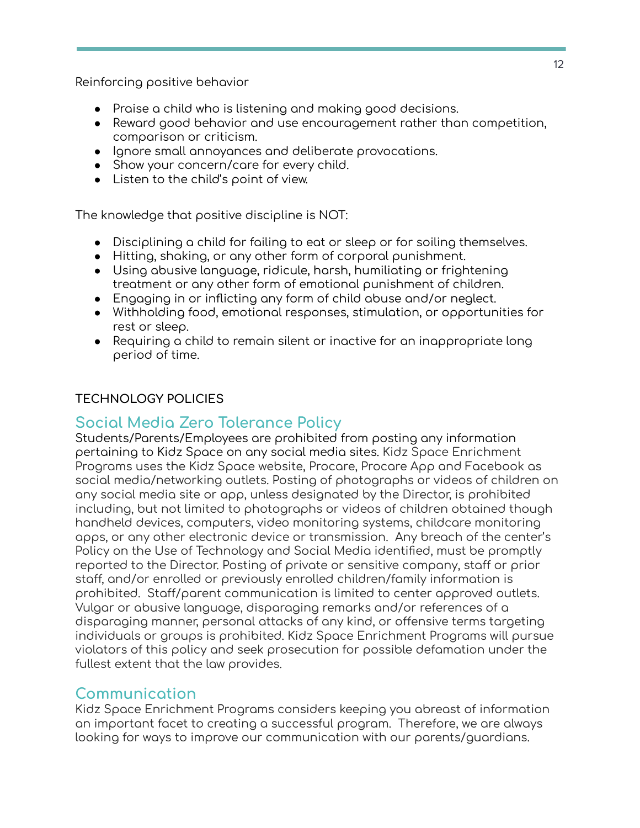Reinforcing positive behavior

- Praise a child who is listening and making good decisions.
- Reward good behavior and use encouragement rather than competition, comparison or criticism.
- Ignore small annoyances and deliberate provocations.
- Show your concern/care for every child.
- Listen to the child's point of view.

The knowledge that positive discipline is NOT:

- Disciplining a child for failing to eat or sleep or for soiling themselves.
- Hitting, shaking, or any other form of corporal punishment.
- Using abusive language, ridicule, harsh, humiliating or frightening treatment or any other form of emotional punishment of children.
- Engaging in or inflicting any form of child abuse and/or neglect.
- Withholding food, emotional responses, stimulation, or opportunities for rest or sleep.
- Requiring a child to remain silent or inactive for an inappropriate long period of time.

### **TECHNOLOGY POLICIES**

### **Social Media Zero Tolerance Policy**

Students/Parents/Employees are prohibited from posting any information pertaining to Kidz Space on any social media sites. Kidz Space Enrichment Programs uses the Kidz Space website, Procare, Procare App and Facebook as social media/networking outlets. Posting of photographs or videos of children on any social media site or app, unless designated by the Director, is prohibited including, but not limited to photographs or videos of children obtained though handheld devices, computers, video monitoring systems, childcare monitoring apps, or any other electronic device or transmission. Any breach of the center's Policy on the Use of Technology and Social Media identified, must be promptly reported to the Director. Posting of private or sensitive company, staff or prior staff, and/or enrolled or previously enrolled children/family information is prohibited. Staff/parent communication is limited to center approved outlets. Vulgar or abusive language, disparaging remarks and/or references of a disparaging manner, personal attacks of any kind, or offensive terms targeting individuals or groups is prohibited. Kidz Space Enrichment Programs will pursue violators of this policy and seek prosecution for possible defamation under the fullest extent that the law provides.

### **Communication**

Kidz Space Enrichment Programs considers keeping you abreast of information an important facet to creating a successful program. Therefore, we are always looking for ways to improve our communication with our parents/guardians.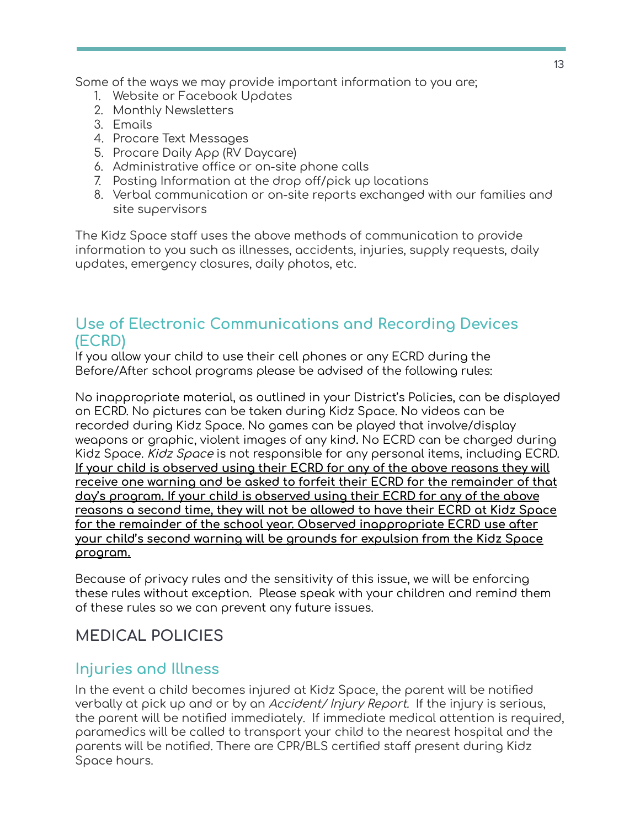Some of the ways we may provide important information to you are;

- 1. Website or Facebook Updates
- 2. Monthly Newsletters
- 3. Emails
- 4. Procare Text Messages
- 5. Procare Daily App (RV Daycare)
- 6. Administrative office or on-site phone calls
- 7. Posting Information at the drop off/pick up locations
- 8. Verbal communication or on-site reports exchanged with our families and site supervisors

The Kidz Space staff uses the above methods of communication to provide information to you such as illnesses, accidents, injuries, supply requests, daily updates, emergency closures, daily photos, etc.

# **Use of Electronic Communications and Recording Devices (ECRD)**

If you allow your child to use their cell phones or any ECRD during the Before/After school programs please be advised of the following rules:

No inappropriate material, as outlined in your District's Policies, can be displayed on ECRD. No pictures can be taken during Kidz Space. No videos can be recorded during Kidz Space. No games can be played that involve/display weapons or graphic, violent images of any kind**.** No ECRD can be charged during Kidz Space. Kidz Space is not responsible for any personal items, including ECRD. **If your child is observed using their ECRD for any of the above reasons they will receive one warning and be asked to forfeit their ECRD for the remainder of that day's program. If your child is observed using their ECRD for any of the above reasons a second time, they will not be allowed to have their ECRD at Kidz Space for the remainder of the school year. Observed inappropriate ECRD use after your child's second warning will be grounds for expulsion from the Kidz Space program.**

Because of privacy rules and the sensitivity of this issue, we will be enforcing these rules without exception. Please speak with your children and remind them of these rules so we can prevent any future issues.

### **MEDICAL POLICIES**

### **Injuries and Illness**

In the event a child becomes injured at Kidz Space, the parent will be notified verbally at pick up and or by an Accident/ Injury Report. If the injury is serious, the parent will be notified immediately. If immediate medical attention is required, paramedics will be called to transport your child to the nearest hospital and the parents will be notified. There are CPR/BLS certified staff present during Kidz Space hours.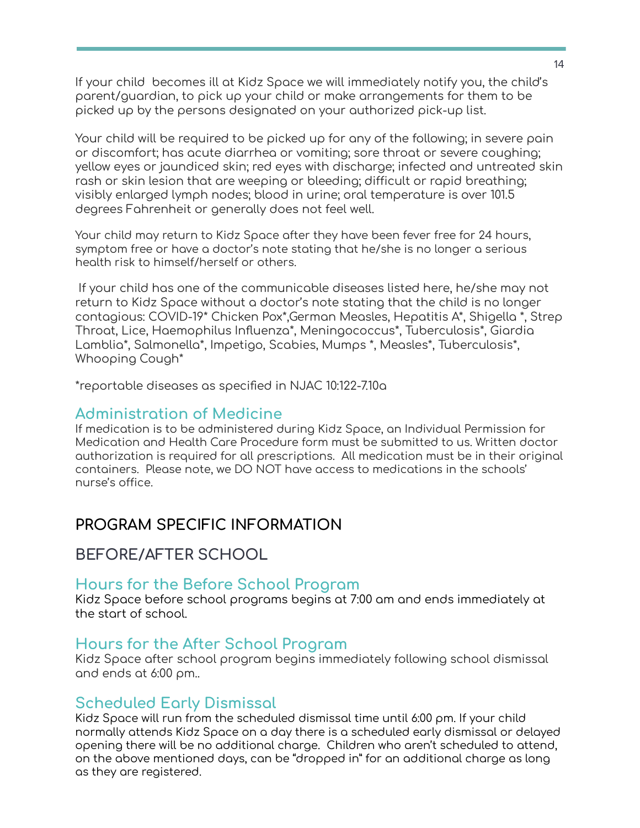If your child becomes ill at Kidz Space we will immediately notify you, the child's parent/guardian, to pick up your child or make arrangements for them to be picked up by the persons designated on your authorized pick-up list.

Your child will be required to be picked up for any of the following; in severe pain or discomfort; has acute diarrhea or vomiting; sore throat or severe coughing; yellow eyes or jaundiced skin; red eyes with discharge; infected and untreated skin rash or skin lesion that are weeping or bleeding; difficult or rapid breathing; visibly enlarged lymph nodes; blood in urine; oral temperature is over 101.5 degrees Fahrenheit or generally does not feel well.

Your child may return to Kidz Space after they have been fever free for 24 hours, symptom free or have a doctor's note stating that he/she is no longer a serious health risk to himself/herself or others.

If your child has one of the communicable diseases listed here, he/she may not return to Kidz Space without a doctor's note stating that the child is no longer contagious: COVID-19\* Chicken Pox\*,German Measles, Hepatitis A\*, Shigella \*, Strep Throat, Lice, Haemophilus Influenza\*, Meningococcus\*, Tuberculosis\*, Giardia Lamblia\*, Salmonella\*, Impetigo, Scabies, Mumps \*, Measles\*, Tuberculosis\*, Whooping Cough\*

\*reportable diseases as specified in NJAC 10:122-7.10a

#### **Administration of Medicine**

If medication is to be administered during Kidz Space, an Individual Permission for Medication and Health Care Procedure form must be submitted to us. Written doctor authorization is required for all prescriptions. All medication must be in their original containers. Please note, we DO NOT have access to medications in the schools' nurse's office.

### **PROGRAM SPECIFIC INFORMATION**

### **BEFORE/AFTER SCHOOL**

#### **Hours for the Before School Program**

Kidz Space before school programs begins at 7:00 am and ends immediately at the start of school.

### **Hours for the After School Program**

Kidz Space after school program begins immediately following school dismissal and ends at 6:00 pm..

### **Scheduled Early Dismissal**

Kidz Space will run from the scheduled dismissal time until 6:00 pm. If your child normally attends Kidz Space on a day there is a scheduled early dismissal or delayed opening there will be no additional charge. Children who aren't scheduled to attend, on the above mentioned days, can be "dropped in" for an additional charge as long as they are registered.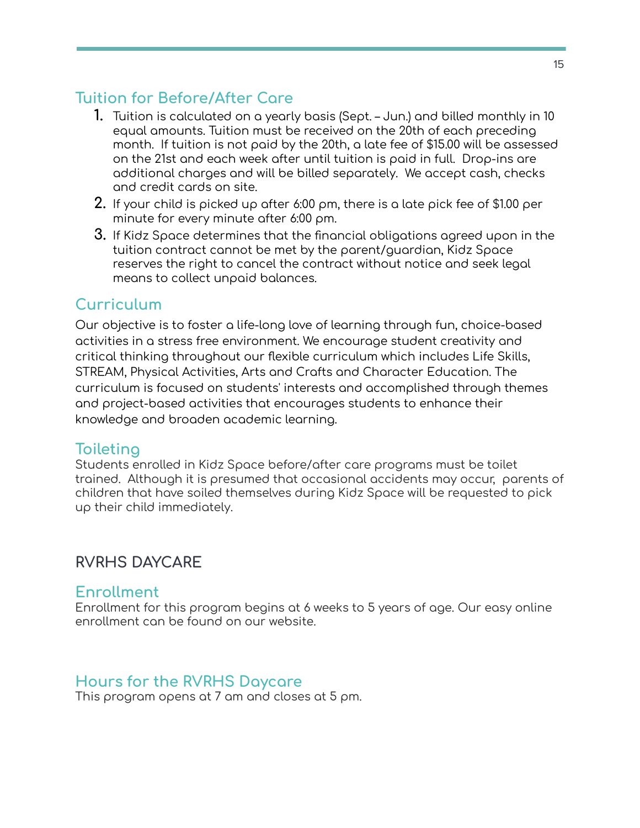# **Tuition for Before/After Care**

- **1.** Tuition is calculated on a yearly basis (Sept. Jun.) and billed monthly in 10 equal amounts. Tuition must be received on the 20th of each preceding month. If tuition is not paid by the 20th, a late fee of \$15.00 will be assessed on the 21st and each week after until tuition is paid in full. Drop-ins are additional charges and will be billed separately. We accept cash, checks and credit cards on site.
- **2.** If your child is picked up after 6:00 pm, there is a late pick fee of \$1.00 per minute for every minute after 6:00 pm.
- **3.** If Kidz Space determines that the financial obligations agreed upon in the tuition contract cannot be met by the parent/guardian, Kidz Space reserves the right to cancel the contract without notice and seek legal means to collect unpaid balances.

### **Curriculum**

Our objective is to foster a life-long love of learning through fun, choice-based activities in a stress free environment. We encourage student creativity and critical thinking throughout our flexible curriculum which includes Life Skills, STREAM, Physical Activities, Arts and Crafts and Character Education. The curriculum is focused on students' interests and accomplished through themes and project-based activities that encourages students to enhance their knowledge and broaden academic learning.

### **Toileting**

Students enrolled in Kidz Space before/after care programs must be toilet trained. Although it is presumed that occasional accidents may occur, parents of children that have soiled themselves during Kidz Space will be requested to pick up their child immediately.

### **RVRHS DAYCARE**

### **Enrollment**

Enrollment for this program begins at 6 weeks to 5 years of age. Our easy online enrollment can be found on our website.

### **Hours for the RVRHS Daycare**

This program opens at 7 am and closes at 5 pm.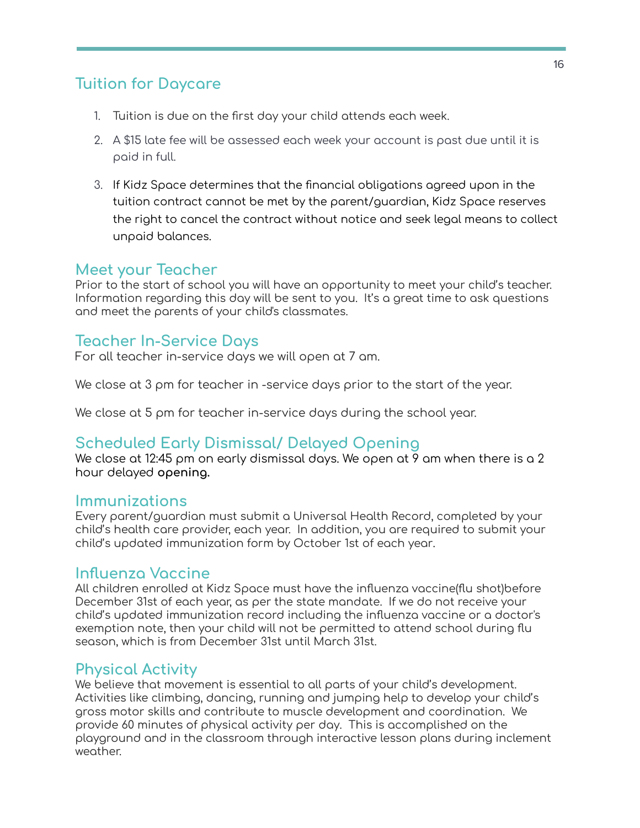# **Tuition for Daycare**

- 1. Tuition is due on the first day your child attends each week.
- 2. A \$15 late fee will be assessed each week your account is past due until it is paid in full.
- 3. If Kidz Space determines that the financial obligations agreed upon in the tuition contract cannot be met by the parent/guardian, Kidz Space reserves the right to cancel the contract without notice and seek legal means to collect unpaid balances.

### **Meet your Teacher**

Prior to the start of school you will have an opportunity to meet your child's teacher. Information regarding this day will be sent to you. It's a great time to ask questions and meet the parents of your child's classmates.

### **Teacher In-Service Days**

For all teacher in-service days we will open at 7 am.

We close at 3 pm for teacher in -service days prior to the start of the year.

We close at 5 pm for teacher in-service days during the school year.

### **Scheduled Early Dismissal/ Delayed Opening**

We close at 12:45 pm on early dismissal days. We open at 9 am when there is a 2 hour delayed **opening.**

#### **Immunizations**

Every parent/guardian must submit a Universal Health Record, completed by your child's health care provider, each year. In addition, you are required to submit your child's updated immunization form by October 1st of each year.

#### **Influenza Vaccine**

All children enrolled at Kidz Space must have the influenza vaccine(flu shot)before December 31st of each year, as per the state mandate. If we do not receive your child's updated immunization record including the influenza vaccine or a doctor's exemption note, then your child will not be permitted to attend school during flu season, which is from December 31st until March 31st.

### **Physical Activity**

We believe that movement is essential to all parts of your child's development. Activities like climbing, dancing, running and jumping help to develop your child's gross motor skills and contribute to muscle development and coordination. We provide 60 minutes of physical activity per day. This is accomplished on the playground and in the classroom through interactive lesson plans during inclement weather.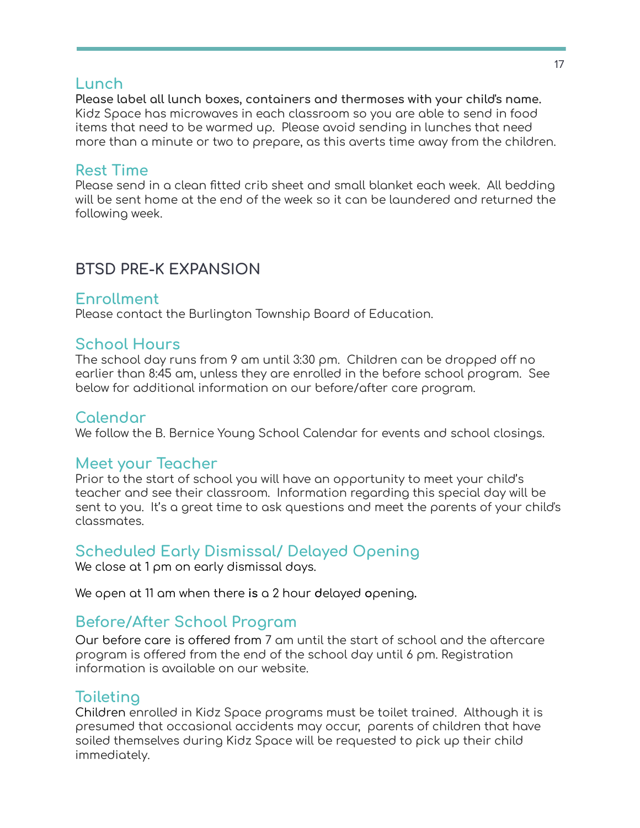#### **Lunch**

**Please label all lunch boxes, containers and thermoses with your child's name.** Kidz Space has microwaves in each classroom so you are able to send in food items that need to be warmed up. Please avoid sending in lunches that need more than a minute or two to prepare, as this averts time away from the children.

### **Rest Time**

Please send in a clean fitted crib sheet and small blanket each week. All bedding will be sent home at the end of the week so it can be laundered and returned the following week.

# **BTSD PRE-K EXPANSION**

### **Enrollment**

Please contact the Burlington Township Board of Education.

### **School Hours**

The school day runs from 9 am until 3:30 pm. Children can be dropped off no earlier than 8:45 am, unless they are enrolled in the before school program. See below for additional information on our before/after care program.

### **Calendar**

We follow the B. Bernice Young School Calendar for events and school closings.

### **Meet your Teacher**

Prior to the start of school you will have an opportunity to meet your child's teacher and see their classroom. Information regarding this special day will be sent to you. It's a great time to ask questions and meet the parents of your child's classmates.

### **Scheduled Early Dismissal/ Delayed Opening**

We close at 1 pm on early dismissal days.

We open at 11 am when there **is** a 2 hour **d**elayed **o**pening**.**

### **Before/After School Program**

Our before care is offered from 7 am until the start of school and the aftercare program is offered from the end of the school day until 6 pm. Registration information is available on our website.

### **Toileting**

Children enrolled in Kidz Space programs must be toilet trained. Although it is presumed that occasional accidents may occur, parents of children that have soiled themselves during Kidz Space will be requested to pick up their child immediately.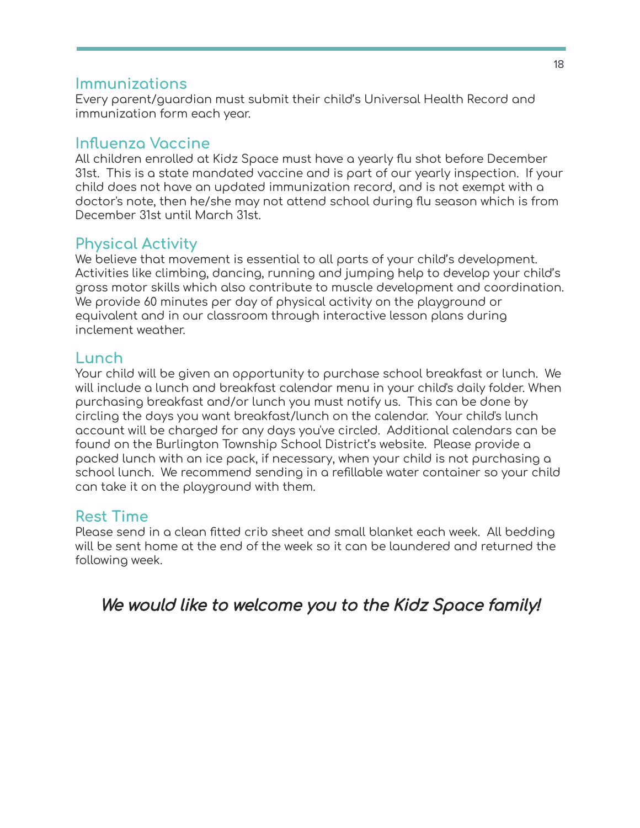### **Immunizations**

Every parent/guardian must submit their child's Universal Health Record and immunization form each year.

### **Influenza Vaccine**

All children enrolled at Kidz Space must have a yearly flu shot before December 31st. This is a state mandated vaccine and is part of our yearly inspection. If your child does not have an updated immunization record, and is not exempt with a doctor's note, then he/she may not attend school during flu season which is from December 31st until March 31st.

### **Physical Activity**

We believe that movement is essential to all parts of your child's development. Activities like climbing, dancing, running and jumping help to develop your child's gross motor skills which also contribute to muscle development and coordination. We provide 60 minutes per day of physical activity on the playground or equivalent and in our classroom through interactive lesson plans during inclement weather.

### **Lunch**

Your child will be given an opportunity to purchase school breakfast or lunch. We will include a lunch and breakfast calendar menu in your child's daily folder. When purchasing breakfast and/or lunch you must notify us. This can be done by circling the days you want breakfast/lunch on the calendar. Your child's lunch account will be charged for any days you've circled. Additional calendars can be found on the Burlington Township School District's website. Please provide a packed lunch with an ice pack, if necessary, when your child is not purchasing a school lunch. We recommend sending in a refillable water container so your child can take it on the playground with them.

### **Rest Time**

Please send in a clean fitted crib sheet and small blanket each week. All bedding will be sent home at the end of the week so it can be laundered and returned the following week.

We would like to welcome you to the Kidz Space family!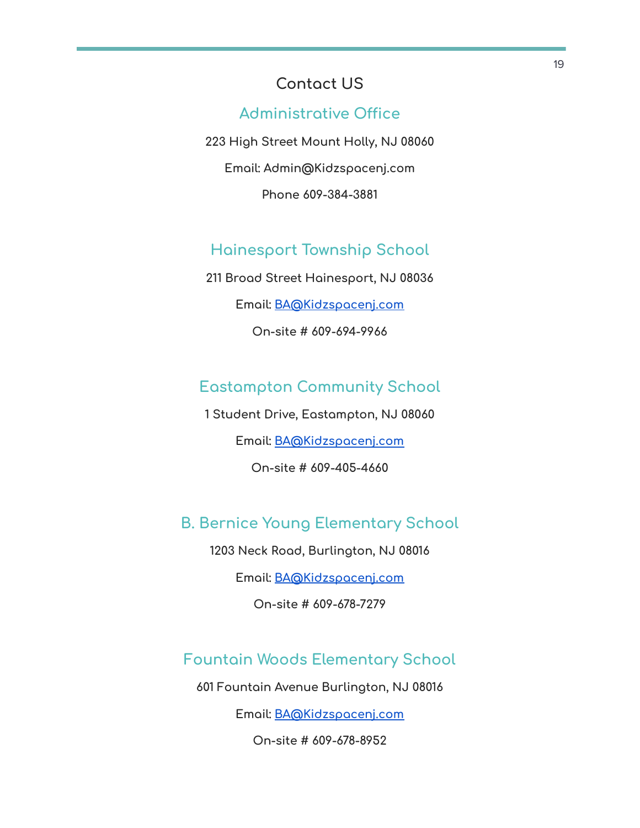# **Contact US**

### **Administrative Office**

**223 High Street Mount Holly, NJ 08060 Email: Admin@Kidzspacenj.com Phone 609-384-3881**

### **Hainesport Township School**

**211 Broad Street Hainesport, NJ 08036 Email: [BA@Kidzspacenj.com](mailto:BA@Kidzspacenj.com) On-site # 609-694-9966**

### **Eastampton Community School**

**1 Student Drive, Eastampton, NJ 08060 Email: [BA@Kidzspacenj.com](mailto:BA@Kidzspacenj.com) On-site # 609-405-4660**

### **B. Bernice Young Elementary School**

**1203 Neck Road, Burlington, NJ 08016**

**Email: [BA@Kidzspacenj.com](mailto:BA@Kidzspacenj.com)**

**On-site # 609-678-7279**

### **Fountain Woods Elementary School**

**601 Fountain Avenue Burlington, NJ 08016**

**Email: [BA@Kidzspacenj.com](mailto:BA@Kidzspacenj.com)**

**On-site # 609-678-8952**